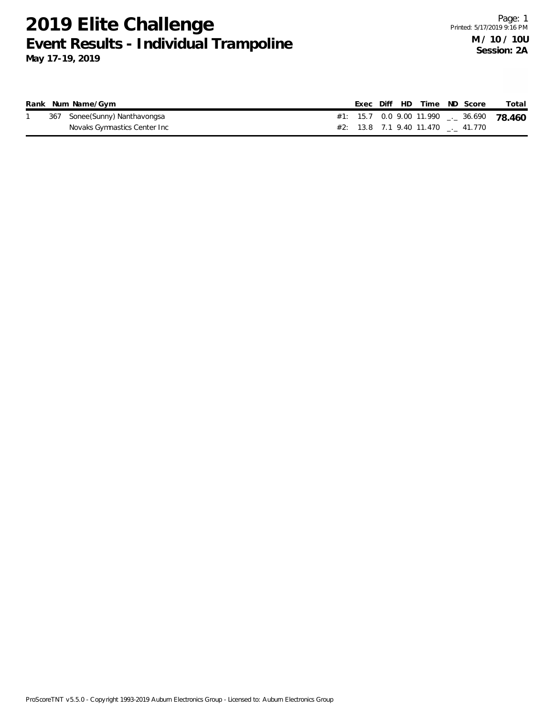**May 17-19, 2019**

|  | Rank Num Name/Gym             |  |  | Exec Diff HD Time ND Score        |  | Total                                                |
|--|-------------------------------|--|--|-----------------------------------|--|------------------------------------------------------|
|  | 367 Sonee(Sunny) Nanthavongsa |  |  |                                   |  | #1: 15.7 0.0 9.00 11.990 $\frac{1}{2}$ 36.690 78.460 |
|  | Novaks Gymnastics Center Inc  |  |  | #2: 13.8 7.1 9.40 11.470 . 41.770 |  |                                                      |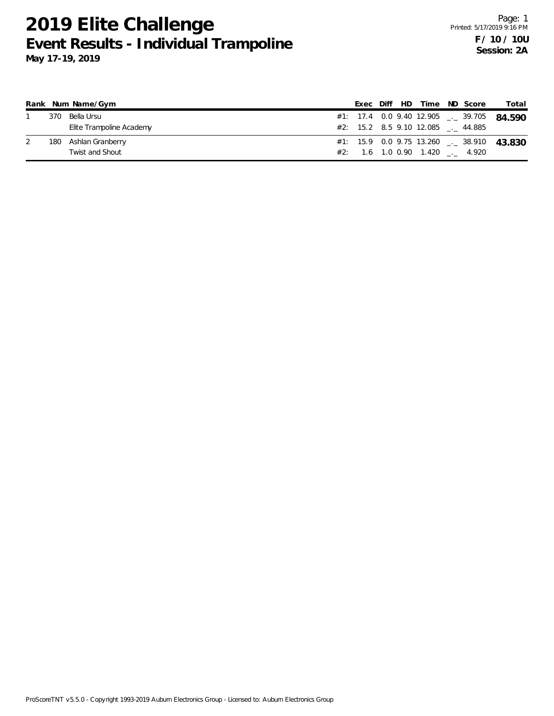|     | Rank Num Name/Gym        |  |  | Exec Diff HD Time ND Score        |  | Total                                                |
|-----|--------------------------|--|--|-----------------------------------|--|------------------------------------------------------|
| 370 | Bella Ursu               |  |  |                                   |  | #1: 17.4 0.0 9.40 12.905 __ 39.705 $84590$           |
|     | Elite Trampoline Academy |  |  | #2: 15.2 8.5 9.10 12.085 . 44.885 |  |                                                      |
| 180 | Ashlan Granberry         |  |  |                                   |  | #1: 15.9 0.0 9.75 13.260 $\frac{1}{2}$ 38.910 43.830 |
|     | Twist and Shout          |  |  | #2: 1.6 1.0 0.90 1.420 . 4.920    |  |                                                      |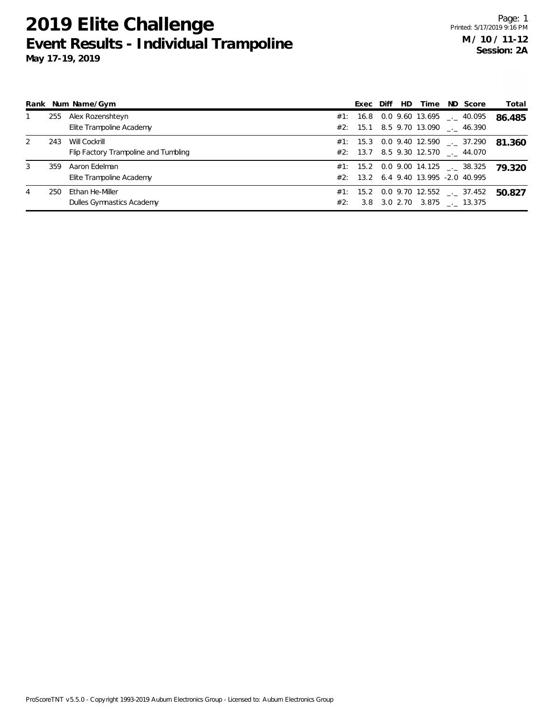|               |     | Rank Num Name/Gym                    |     | Exec Diff | HD. | Time | ND Score                                           | Total  |
|---------------|-----|--------------------------------------|-----|-----------|-----|------|----------------------------------------------------|--------|
|               | 255 | Alex Rozenshteyn                     |     | #1: 16.8  |     |      | 0.0 9.60 13.695 $\phantom{0}$ $\phantom{0}$ 40.095 | 86.485 |
|               |     | Elite Trampoline Academy             |     |           |     |      | #2: 15.1 8.5 9.70 13.090 $\ldots$ 46.390           |        |
| $\mathcal{L}$ | 243 | Will Cockrill                        |     |           |     |      | #1: 15.3 0.0 9.40 12.590 $\_\_$ 37.290             | 81.360 |
|               |     | Flip Factory Trampoline and Tumbling |     |           |     |      | #2: 13.7 8.5 9.30 12.570 . 44.070                  |        |
| 3             | 359 | Aaron Edelman                        |     |           |     |      | #1: 15.2 0.0 9.00 14.125 $\leq$ 38.325             | 79.320 |
|               |     | Elite Trampoline Academy             |     |           |     |      | #2: 13.2 6.4 9.40 13.995 -2.0 40.995               |        |
| 4             | 250 | Ethan He-Miller                      |     |           |     |      | #1: 15.2 0.0 9.70 12.552 $\leq$ 37.452             | 50.827 |
|               |     | Dulles Gymnastics Academy            | #2: |           |     |      | 3.8 3.0 2.70 3.875 . 13.375                        |        |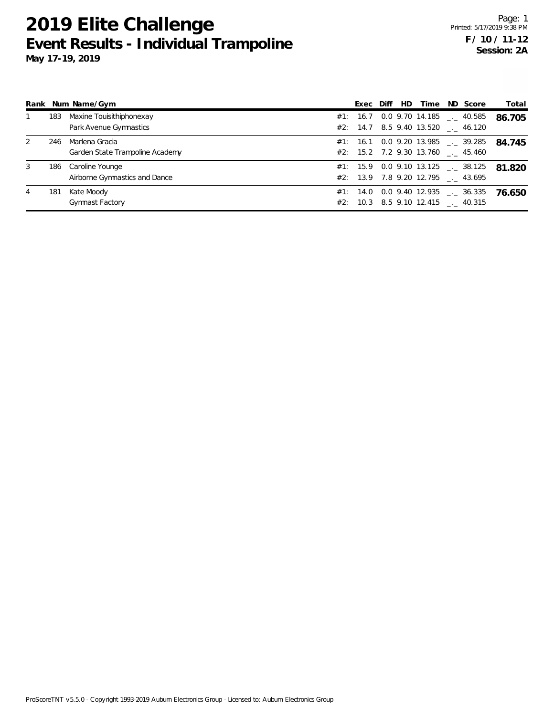|   | Rank Num Name/Gym<br>Exec Diff |                                                    |  |          |  |  | HD.<br>Time | ND Score                                                                          | Total  |
|---|--------------------------------|----------------------------------------------------|--|----------|--|--|-------------|-----------------------------------------------------------------------------------|--------|
|   | 183                            | Maxine Touisithiphonexay<br>Park Avenue Gymnastics |  | #1: 16.7 |  |  |             | $0.0$ 9.70 14.185 $\qquad$ 40.585<br>#2: $14.7$ 8.5 9.40 13.520  46.120           | 86.705 |
| 2 | 246                            | Marlena Gracia<br>Garden State Trampoline Academy  |  |          |  |  |             | #1: 16.1 0.0 9.20 13.985 $\leq$ 39.285<br>$#2$ : 15.2 7.2 9.30 13.760 ___ 45.460  | 84.745 |
| 3 | 186                            | Caroline Younge<br>Airborne Gymnastics and Dance   |  |          |  |  |             | #1: 15.9 0.0 9.10 13.125 $\text{---}$ 38.125<br>#2: 13.9 7.8 9.20 12.795 . 43.695 | 81.820 |
| 4 | 181                            | Kate Moody<br><b>Gymnast Factory</b>               |  |          |  |  |             | #1: 14.0 0.0 9.40 12.935 $\leq$ 36.335<br>#2: 10.3 8.5 9.10 12.415 . 40.315       | 76.650 |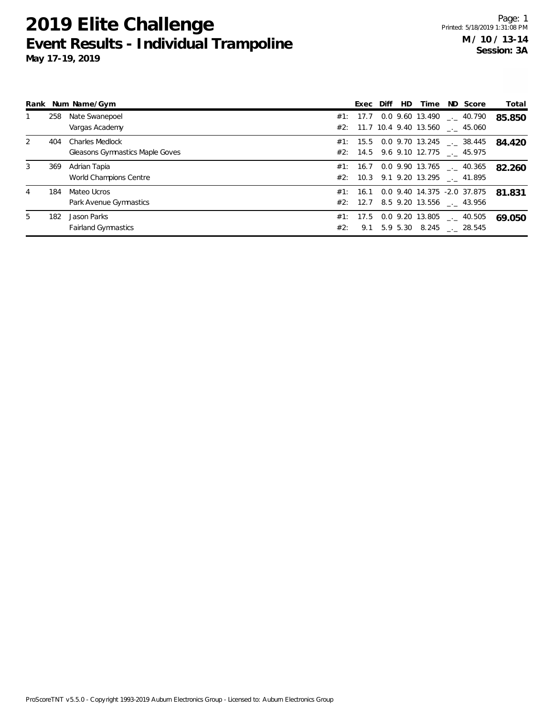|    |     | Rank Num Name/Gym                      |     | Exec     | Diff | HD.      | Time | ND Score                                 | Total  |
|----|-----|----------------------------------------|-----|----------|------|----------|------|------------------------------------------|--------|
|    | 258 | Nate Swanepoel                         |     |          |      |          |      | #1: 17.7 0.0 9.60 13.490 . 40.790        | 85.850 |
|    |     | Vargas Academy                         |     |          |      |          |      | #2: 11.7 10.4 9.40 13.560 . 45.060       |        |
|    | 404 | <b>Charles Medlock</b>                 |     |          |      |          |      | #1: 15.5 0.0 9.70 13.245 $\leq$ 38.445   | 84.420 |
|    |     | <b>Gleasons Gymnastics Maple Goves</b> |     |          |      |          |      | #2: 14.5 9.6 9.10 12.775 . 45.975        |        |
|    | 369 | Adrian Tapia                           |     |          |      |          |      | $\#1$ : 16.7 0.0 9.90 13.765 __ 40.365   | 82.260 |
|    |     | World Champions Centre                 |     |          |      |          |      | #2: 10.3 9.1 9.20 13.295 . 41.895        |        |
|    | 184 | Mateo Ucros                            |     |          |      |          |      | #1: 16.1 0.0 9.40 14.375 -2.0 37.875     | 81.831 |
|    |     | Park Avenue Gymnastics                 |     | #2: 12.7 |      |          |      | 8.5 9.20 13.556 . 43.956                 |        |
| 5. | 182 | Jason Parks                            |     |          |      |          |      | #1: 17.5 0.0 9.20 13.805 $\ldots$ 40.505 | 69.050 |
|    |     | <b>Fairland Gymnastics</b>             | #2: | 9.1      |      | 5.9 5.30 |      | 8.245 . 28.545                           |        |
|    |     |                                        |     |          |      |          |      |                                          |        |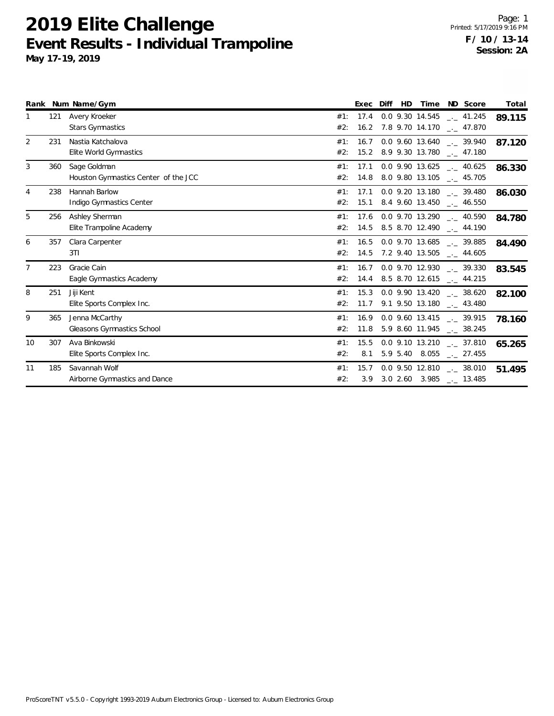|    |     | Rank Num Name/Gym                                    |            | Exec         | Diff | <b>HD</b> | Time ND Score                                                                          | Total  |
|----|-----|------------------------------------------------------|------------|--------------|------|-----------|----------------------------------------------------------------------------------------|--------|
|    | 121 | Avery Kroeker<br><b>Stars Gymnastics</b>             | #1:<br>#2: | 17.4         |      |           | $0.0$ 9.30 14.545 $\_ 41.245$<br>16.2 7.8 9.70 14.170 __ 47.870                        | 89.115 |
| 2  | 231 | Nastia Katchalova<br>Elite World Gymnastics          | #1:<br>#2: |              |      |           | 16.7 0.0 9.60 13.640 $\frac{1}{2}$ 39.940<br>15.2 8.9 9.30 13.780 __ 47.180            | 87.120 |
| 3  | 360 | Sage Goldman<br>Houston Gymnastics Center of the JCC | #1:<br>#2: | 17.1         |      |           | $0.0$ 9.90 13.625 $\_ 40.625$<br>14.8 8.0 9.80 13.105 $\qquad \qquad -2$ 45.705        | 86.330 |
| 4  | 238 | Hannah Barlow<br>Indigo Gymnastics Center            | #1:<br>#2: | 17.1<br>15.1 |      |           | 0.0 9.20 13.180 . 39.480<br>8.4 9.60 13.450 __ 46.550                                  | 86.030 |
| 5  | 256 | Ashley Sherman<br>Elite Trampoline Academy           | #1:<br>#2: | 17.6         |      |           | $0.0$ 9.70 13.290 $\ldots$ 40.590<br>$14.5$ 8.5 8.70 12.490 $\ldots$ 44.190            | 84.780 |
| 6  | 357 | Clara Carpenter<br>3T1                               | #1:<br>#2: |              |      |           | 16.5 0.0 9.70 13.685 . 39.885<br>$14.5$ 7.2 9.40 13.505 $-$ 44.605                     | 84.490 |
| 7  | 223 | Gracie Cain<br>Eagle Gymnastics Academy              | #1:<br>#2: |              |      |           | $16.7$ 0.0 9.70 12.930 $\ldots$ 39.330<br>14.4 8.5 8.70 12.615 $\qquad \qquad -44.215$ | 83.545 |
| 8  | 251 | Jiji Kent<br>Elite Sports Complex Inc.               | #1:<br>#2: |              |      |           | 15.3 0.0 9.90 13.420 . 38.620<br>11.7 9.1 9.50 13.180 __ 43.480                        | 82.100 |
| 9  | 365 | Jenna McCarthy<br>Gleasons Gymnastics School         | #1:<br>#2: |              |      |           | $16.9$ 0.0 9.60 13.415 $\ldots$ 39.915<br>11.8 5.9 8.60 11.945 __ 38.245               | 78.160 |
| 10 | 307 | Ava Binkowski<br>Elite Sports Complex Inc.           | #1:<br>#2: | 15.5<br>8.1  |      |           | $0.0$ 9.10 13.210 $\qquad$ 37.810<br>5.9 5.40 8.055 $\text{---}$ 27.455                | 65.265 |
| 11 | 185 | Savannah Wolf<br>Airborne Gymnastics and Dance       | #1:<br>#2: | 15.7         |      |           | $0.0$ 9.50 12.810 $\ldots$ 38.010<br>3.9 3.0 2.60 3.985 __ 13.485                      | 51.495 |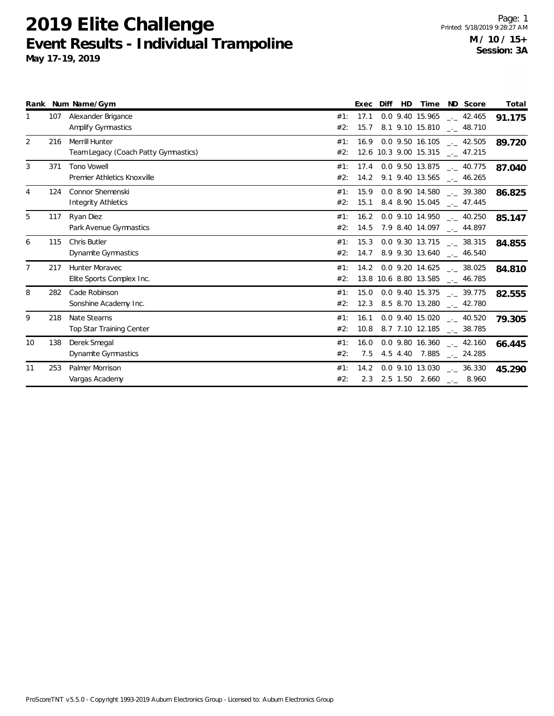|                 |     | Rank Num Name/Gym                                      |            | Exec         | Diff | <b>HD</b> | Time                                    | ND Score                                                        | Total  |
|-----------------|-----|--------------------------------------------------------|------------|--------------|------|-----------|-----------------------------------------|-----------------------------------------------------------------|--------|
|                 | 107 | Alexander Brigance<br><b>Amplify Gymnastics</b>        | #1:<br>#2: | 17.1         |      |           | 0.0 9.40 15.965<br>15.7 8.1 9.10 15.810 | 42.465<br>$\sim$ 48.710                                         | 91.175 |
| 2               | 216 | Merrill Hunter<br>Team Legacy (Coach Patty Gymnastics) | #1:<br>#2: |              |      |           | 12.6 10.3 9.00 15.315                   | $16.9$ 0.0 9.50 16.105 $\ldots$ 42.505<br>. 47.215              | 89.720 |
| 3               | 371 | <b>Tono Vowell</b><br>Premier Athletics Knoxville      | #1:<br>#2: | 17.4         |      |           | 0.0 9.50 13.875                         | . 40.775<br>14.2 9.1 9.40 13.565 __ 46.265                      | 87.040 |
| 4               | 124 | <b>Connor Shemenski</b><br><b>Integrity Athletics</b>  | #1:<br>#2: |              |      |           |                                         | 15.9 0.0 8.90 14.580 . 39.380<br>15.1 8.4 8.90 15.045 __ 47.445 | 86.825 |
| $5\phantom{.0}$ | 117 | Ryan Diez<br>Park Avenue Gymnastics                    | #1:<br>#2: | 14.5         |      |           |                                         | 16.2 0.0 9.10 14.950 __ 40.250<br>7.9 8.40 14.097 __ 44.897     | 85.147 |
| 6               | 115 | Chris Butler<br>Dynamite Gymnastics                    | #1:<br>#2: | 15.3<br>14.7 |      |           |                                         | 0.0 9.30 13.715 . 38.315<br>$8.9$ 9.30 13.640 $\ldots$ 46.540   | 84.855 |
| 7               | 217 | <b>Hunter Moravec</b><br>Elite Sports Complex Inc.     | #1:<br>#2: |              |      |           | 13.8 10.6 8.80 13.585                   | 14.2 0.0 9.20 14.625 __ 38.025<br>$-2$ 46.785                   | 84.810 |
| 8               | 282 | Cade Robinson<br>Sonshine Academy Inc.                 | #1:<br>#2: | 15.0         |      |           | 0.0 9.40 15.375<br>12.3 8.5 8.70 13.280 | $\sim$ 39.775<br>$\frac{1}{2}$ 42.780                           | 82.555 |
| 9               | 218 | Nate Stearns<br><b>Top Star Training Center</b>        | #1:<br>#2: | 16.1<br>10.8 |      |           | 8.7 7.10 12.185                         | $0.0$ 9.40 15.020 $\ldots$ 40.520<br>$_{\rm --}$ 38.785         | 79.305 |
| 10              | 138 | Derek Smegal<br>Dynamite Gymnastics                    | #1:<br>#2: | 16.0<br>7.5  |      |           | 0.0 9.80 16.360<br>4.5 4.40 7.885       | $\frac{1}{2}$ 42.160<br>$-24.285$                               | 66.445 |
| 11              | 253 | Palmer Morrison<br>Vargas Academy                      | #1:<br>#2: | 14.2         |      |           | 0.0 9.10 13.030                         | $\sim$ 36.330<br>2.3 2.5 1.50 2.660 $_{\leftarrow}$ 8.960       | 45.290 |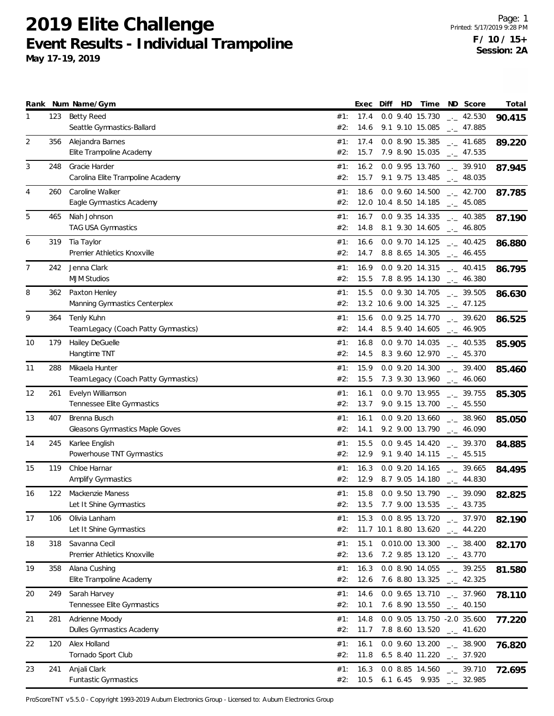**May 17-19, 2019**

|                |     | Rank Num Name/Gym                                      |            | Exec         | Diff | HD | Time                                                                                   | ND Score                                     | Total  |
|----------------|-----|--------------------------------------------------------|------------|--------------|------|----|----------------------------------------------------------------------------------------|----------------------------------------------|--------|
| 1              | 123 | <b>Betty Reed</b><br>Seattle Gymnastics-Ballard        | #1:<br>#2: | 17.4<br>14.6 |      |    | 0.0 9.40 15.730<br>9.1 9.10 15.085                                                     | $\frac{1}{2}$ 42.530<br>$\frac{1}{2}$ 47.885 | 90.415 |
| $\overline{2}$ | 356 | Alejandra Barnes<br>Elite Trampoline Academy           | #1:<br>#2: | 17.4<br>15.7 |      |    | 0.0 8.90 15.385<br>7.9 8.90 15.035                                                     | $\frac{1}{2}$ 41.685<br>$-2$ 47.535          | 89.220 |
| 3              | 248 | Gracie Harder<br>Carolina Elite Trampoline Academy     | #1:<br>#2: | 16.2<br>15.7 |      |    | 0.0 9.95 13.760<br>9.1 9.75 13.485                                                     | $-2$ 39.910<br>$\frac{1}{2}$ 48.035          | 87.945 |
| 4              | 260 | Caroline Walker<br>Eagle Gymnastics Academy            | #1:<br>#2: | 18.6         |      |    | $0.0$ 9.60 14.500<br>12.0 10.4 8.50 14.185                                             | $\sim$ 42.700<br>$\sim$ 45.085               | 87.785 |
| 5              | 465 | Niah Johnson<br>TAG USA Gymnastics                     | #1:<br>#2: | 16.7<br>14.8 |      |    | 0.0 9.35 14.335<br>8.1 9.30 14.605                                                     | $\frac{1}{2}$ 40.385<br>$\frac{1}{2}$ 46.805 | 87.190 |
| 6              | 319 | Tia Taylor<br>Premier Athletics Knoxville              | #1:<br>#2: | 16.6<br>14.7 |      |    | 0.0 9.70 14.125<br>8.8 8.65 14.305                                                     | $\frac{1}{2}$ 40.425<br>$-1$ 46.455          | 86.880 |
| $\overline{7}$ | 242 | Jenna Clark<br><b>MJM Studios</b>                      | #1:<br>#2: | 16.9<br>15.5 |      |    | 0.0 9.20 14.315<br>7.8 8.95 14.130                                                     | $\frac{1}{2}$ 40.415<br>$\sim$ 46.380        | 86.795 |
| 8              | 362 | Paxton Henley<br>Manning Gymnastics Centerplex         | #1:<br>#2: | 15.5         |      |    | 0.0 9.30 14.705<br>13.2 10.6 9.00 14.325 $_{\leftarrow}$ 47.125                        | $-2$ 39.505                                  | 86.630 |
| 9              | 364 | Tenly Kuhn<br>Team Legacy (Coach Patty Gymnastics)     | #1:<br>#2: | 15.6<br>14.4 |      |    | 0.0 9.25 14.770<br>8.5 9.40 14.605                                                     | $\frac{1}{2}$ 39.620<br>$-2$ 46.905          | 86.525 |
| 10             | 179 | Hailey DeGuelle<br>Hangtime TNT                        | #1:<br>#2: | 16.8<br>14.5 |      |    | 0.0 9.70 14.035<br>8.3 9.60 12.970                                                     | $\frac{1}{2}$ 40.535<br>$-2$ 45.370          | 85.905 |
| 11             | 288 | Mikaela Hunter<br>Team Legacy (Coach Patty Gymnastics) | #1:<br>#2: | 15.9<br>15.5 |      |    | 0.0 9.20 14.300<br>7.3 9.30 13.960                                                     | $-2$ 39.400<br>$\frac{1}{2}$ 46.060          | 85.460 |
| 12             | 261 | Evelyn Williamson<br>Tennessee Elite Gymnastics        | #1:<br>#2: | 16.1         |      |    | 0.0 9.70 13.955<br>$13.7$ 9.0 9.15 13.700 $\_\_$ 45.550                                | $-2$ 39.755                                  | 85.305 |
| 13             | 407 | Brenna Busch<br><b>Gleasons Gymnastics Maple Goves</b> | #1:<br>#2: | 16.1<br>14.1 |      |    | 0.0 9.20 13.660<br>9.2 9.00 13.790                                                     | $-2$ 38.960<br>$-1$ 46.090                   | 85.050 |
| 14             | 245 | Karlee English<br>Powerhouse TNT Gymnastics            | #1:<br>#2: | 15.5<br>12.9 |      |    | $0.0$ 9.45 14.420<br>9.1 9.40 14.115                                                   | $\frac{1}{2}$ 39.370<br>$\frac{1}{2}$ 45.515 | 84.885 |
| 15             | 119 | Chloe Harnar<br>Amplify Gymnastics                     | #1:<br>#2: | 16.3<br>12.9 |      |    | $0.0$ 9.20 14.165<br>8.7 9.05 14.180                                                   | $\frac{1}{2}$ 39.665<br>$-2$ 44.830          | 84.495 |
| 16             | 122 | Mackenzie Maness<br>Let It Shine Gymnastics            | #1:<br>#2: | 15.8         |      |    | 0.0 9.50 13.790<br>13.5 7.7 9.00 13.535 .                                              | $-2$ 39.090<br>43.735                        | 82.825 |
| 17             | 106 | Olivia Lanham<br>Let It Shine Gymnastics               | #1:<br>#2: |              |      |    | 15.3 0.0 8.95 13.720 $\frac{1}{2}$ 37.970<br>11.7 10.1 8.80 13.620 $\text{---}$ 44.220 |                                              | 82.190 |
| 18             | 318 | Savanna Cecil<br>Premier Athletics Knoxville           | #1:<br>#2: | 15.1<br>13.6 |      |    | 0.010.00 13.300<br>7.2 9.85 13.120                                                     | $\frac{1}{2}$ 38.400<br>$-$ 43.770           | 82.170 |
| 19             | 358 | Alana Cushing<br>Elite Trampoline Academy              | #1:<br>#2: | 16.3<br>12.6 |      |    | 0.0 8.90 14.055 $_{\leftarrow}$ 39.255<br>7.6 8.80 13.325 $\_\_$ 42.325                |                                              | 81.580 |
| 20             | 249 | Sarah Harvey<br>Tennessee Elite Gymnastics             | #1:<br>#2: | 14.6<br>10.1 |      |    | $0.0$ 9.65 13.710 $\ldots$ 37.960<br>7.6 8.90 13.550 $\qquad$ 40.150                   |                                              | 78.110 |
| 21             | 281 | Adrienne Moody<br>Dulles Gymnastics Academy            | #1:<br>#2: | 14.8<br>11.7 |      |    | 0.0 9.05 13.750 -2.0 35.600<br>7.8 8.60 13.520 $\_\_$ 41.620                           |                                              | 77.220 |
| 22             | 120 | Alex Holland<br>Tornado Sport Club                     | #1:<br>#2: | 16.1<br>11.8 |      |    | $0.0$ 9.60 13.200 $\ldots$ 38.900<br>6.5 8.40 11.220 $\qquad$ 37.920                   |                                              | 76.820 |
| 23             | 241 | Anjali Clark<br>Funtastic Gymnastics                   | #1:<br>#2: | 16.3         |      |    | 0.0 8.85 14.560 $\frac{1}{2}$ 39.710<br>10.5 6.1 6.45 9.935 $\_\_$ 32.985              |                                              | 72.695 |